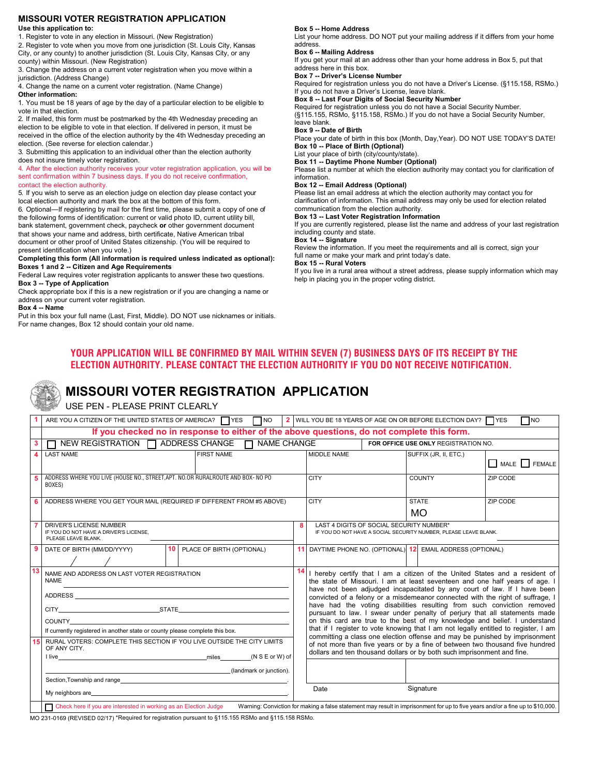#### **MISSOURI VOTER REGISTRATION APPLICATION Use this application to:**

1. Register to vote in any election in Missouri. (New Registration)

2. Register to vote when you move from one jurisdiction (St. Louis City, Kansas City, or any county) to another jurisdiction (St. Louis City, Kansas City, or any county) within Missouri. (New Registration)

3. Change the address on a current voter registration when you move within a jurisdiction. (Address Change)

4. Change the name on a current voter registration. (Name Change)

**Other information:** 

1. You must be 18 years of age by the day of a particular election to be eligible to vote in that election.

2. If mailed, this form must be postmarked by the 4th Wednesday preceding an election to be eligible to vote in that election. If delivered in person, it must be received in the office of the election authority by the 4th Wednesday preceding an election. (See reverse for election calendar.)

3. Submitting this application to an individual other than the election authority does not insure timely voter registration.

4. After the election authority receives your voter registration application, you will be sent confirmation within 7 business days. If you do not receive confirmation, contact the election authority.

5. If you wish to serve as an election judge on election day please contact your local election authority and mark the box at the bottom of this form.

6. Optional—If registering by mail for the first time, please submit a copy of one of the following forms of identification: current or valid photo ID, current utility bill, bank statement, government check, paycheck **or** other government document that shows your name and address, birth certificate, Native American tribal document or other proof of United States citizenship. (You will be required to

present identification when you vote.)

**Completing this form (All information is required unless indicated as optional): Boxes 1 and 2 -- Citizen and Age Requirements** 

Federal Law requires voter registration applicants to answer these two questions. **Box 3 -- Type of Application** 

Check appropriate box if this is a new registration or if you are changing a name or address on your current voter registration.

**Box 4 -- Name** 

Put in this box your full name (Last, First, Middle). DO NOT use nicknames or initials. For name changes, Box 12 should contain your old name.

#### **Box 5 -- Home Address**

List your home address. DO NOT put your mailing address if it differs from your home address.

#### **Box 6 -- Mailing Address**

If you get your mail at an address other than your home address in Box 5, put that address here in this box.

#### **Box 7 -- Driver's License Number**

Required for registration unless you do not have a Driver's License. (§115.158, RSMo.) If you do not have a Driver's License, leave blank.

**Box 8 -- Last Four Digits of Social Security Number** 

Required for registration unless you do not have a Social Security Number. (§115.155, RSMo, §115.158, RSMo.) If you do not have a Social Security Number, leave blank.

#### **Box 9 -- Date of Birth**

Place your date of birth in this box (Month, Day,Year). DO NOT USE TODAY'S DATE! **Box 10 -- Place of Birth (Optional)** 

List your place of birth (city/county/state).

**Box 11 -- Daytime Phone Number (Optional)**

Please list a number at which the election authority may contact you for clarification of information.

#### **Box 12 -- Email Address (Optional)**

Please list an email address at which the election authority may contact you for clarification of information. This email address may only be used for election related communication from the election authority.

#### **Box 13 -- Last Voter Registration Information**

If you are currently registered, please list the name and address of your last registration including county and state.

#### **Box 14 -- Signature**

Review the information. If you meet the requirements and all is correct, sign your full name or make your mark and print today's date.

#### **Box 15 -- Rural Voters**

If you live in a rural area without a street address, please supply information which may help in placing you in the proper voting district.

### **YOUR APPLICATION WILL BE CONFIRMED BY MAIL WITHIN SEVEN (7) BUSINESS DAYS OF ITS RECEIPT BY THE ELECTION AUTHORITY. PLEASE CONTACT THE ELECTION AUTHORITY IF YOU DO NOT RECEIVE NOTIFICATION.**

# **MISSOURI VOTER REGISTRATION APPLICATION**

USE PEN - PLEASE PRINT CLEARLY

|    | ARE YOU A CITIZEN OF THE UNITED STATES OF AMERICA? $\Box$ YES $\Box$ NO<br>2 WILL YOU BE 18 YEARS OF AGE ON OR BEFORE ELECTION DAY? TYES<br>Пмо                                                                                |    |                                                                                                                                                                    |                                                                                                                                                          |                                                             |                                                                                                                                                                                                                                                                                                                          |  |
|----|--------------------------------------------------------------------------------------------------------------------------------------------------------------------------------------------------------------------------------|----|--------------------------------------------------------------------------------------------------------------------------------------------------------------------|----------------------------------------------------------------------------------------------------------------------------------------------------------|-------------------------------------------------------------|--------------------------------------------------------------------------------------------------------------------------------------------------------------------------------------------------------------------------------------------------------------------------------------------------------------------------|--|
|    | If you checked no in response to either of the above questions, do not complete this form.                                                                                                                                     |    |                                                                                                                                                                    |                                                                                                                                                          |                                                             |                                                                                                                                                                                                                                                                                                                          |  |
|    | $\Box$ NEW REGISTRATION $\Box$ ADDRESS CHANGE $\Box$ NAME CHANGE                                                                                                                                                               |    | FOR OFFICE USE ONLY REGISTRATION NO.                                                                                                                               |                                                                                                                                                          |                                                             |                                                                                                                                                                                                                                                                                                                          |  |
|    | <b>LAST NAME</b><br><b>FIRST NAME</b>                                                                                                                                                                                          |    | MIDDLE NAME                                                                                                                                                        |                                                                                                                                                          | SUFFIX (JR, II, ETC.)                                       | MALE   FEMALE                                                                                                                                                                                                                                                                                                            |  |
|    | ADDRESS WHERE YOU LIVE (HOUSE NO., STREET, APT. NO.OR RURALROUTE AND BOX- NO PO<br>BOXES)                                                                                                                                      |    | <b>CITY</b>                                                                                                                                                        |                                                                                                                                                          | <b>COUNTY</b>                                               | ZIP CODE                                                                                                                                                                                                                                                                                                                 |  |
|    | ADDRESS WHERE YOU GET YOUR MAIL (REQUIRED IF DIFFERENT FROM #5 ABOVE)                                                                                                                                                          |    | <b>CITY</b>                                                                                                                                                        |                                                                                                                                                          | <b>STATE</b>                                                | ZIP CODE                                                                                                                                                                                                                                                                                                                 |  |
|    |                                                                                                                                                                                                                                |    |                                                                                                                                                                    |                                                                                                                                                          | MO.                                                         |                                                                                                                                                                                                                                                                                                                          |  |
|    | <b>DRIVER'S LICENSE NUMBER</b><br>8<br>IF YOU DO NOT HAVE A DRIVER'S LICENSE,<br>PLEASE LEAVE BLANK.                                                                                                                           |    | LAST 4 DIGITS OF SOCIAL SECURITY NUMBER*<br>IF YOU DO NOT HAVE A SOCIAL SECURITY NUMBER, PLEASE LEAVE BLANK.                                                       |                                                                                                                                                          |                                                             |                                                                                                                                                                                                                                                                                                                          |  |
|    | 10 <sup>1</sup><br>PLACE OF BIRTH (OPTIONAL)<br>DATE OF BIRTH (MM/DD/YYYY)                                                                                                                                                     |    |                                                                                                                                                                    |                                                                                                                                                          | 11 DAYTIME PHONE NO. (OPTIONAL) 12 EMAIL ADDRESS (OPTIONAL) |                                                                                                                                                                                                                                                                                                                          |  |
| 13 | NAME AND ADDRESS ON LAST VOTER REGISTRATION<br><b>NAME</b>                                                                                                                                                                     | 14 |                                                                                                                                                                    |                                                                                                                                                          |                                                             | I hereby certify that I am a citizen of the United States and a resident of<br>the state of Missouri. I am at least seventeen and one half years of age. I<br>have not been adjudged incapacitated by any court of law. If I have been<br>convicted of a felony or a misdemeanor connected with the right of suffrage, I |  |
|    |                                                                                                                                                                                                                                |    | have had the voting disabilities resulting from such conviction removed<br>pursuant to law. I swear under penalty of perjury that all statements made              |                                                                                                                                                          |                                                             |                                                                                                                                                                                                                                                                                                                          |  |
|    | COUNTY                                                                                                                                                                                                                         |    |                                                                                                                                                                    |                                                                                                                                                          |                                                             | on this card are true to the best of my knowledge and belief. I understand                                                                                                                                                                                                                                               |  |
|    | If currently registered in another state or county please complete this box.                                                                                                                                                   |    | that if I register to vote knowing that I am not legally entitled to register, I am<br>committing a class one election offense and may be punished by imprisonment |                                                                                                                                                          |                                                             |                                                                                                                                                                                                                                                                                                                          |  |
|    | RURAL VOTERS: COMPLETE THIS SECTION IF YOU LIVE OUTSIDE THE CITY LIMITS<br>OF ANY CITY.<br>The miles (NSE or W) of                                                                                                             |    |                                                                                                                                                                    | of not more than five years or by a fine of between two thousand five hundred<br>dollars and ten thousand dollars or by both such imprisonment and fine. |                                                             |                                                                                                                                                                                                                                                                                                                          |  |
|    | (landmark or junction).                                                                                                                                                                                                        |    |                                                                                                                                                                    |                                                                                                                                                          |                                                             |                                                                                                                                                                                                                                                                                                                          |  |
|    | Section, Township and range                                                                                                                                                                                                    |    |                                                                                                                                                                    |                                                                                                                                                          |                                                             |                                                                                                                                                                                                                                                                                                                          |  |
|    | My neighbors are experience and the state of the state of the state of the state of the state of the state of the state of the state of the state of the state of the state of the state of the state of the state of the stat |    | Date                                                                                                                                                               |                                                                                                                                                          | Signature                                                   |                                                                                                                                                                                                                                                                                                                          |  |
|    |                                                                                                                                                                                                                                |    |                                                                                                                                                                    |                                                                                                                                                          |                                                             |                                                                                                                                                                                                                                                                                                                          |  |
|    | Check here if you are interested in working as an Election Judge<br>Warning: Conviction for making a false statement may result in imprisonment for up to five years and/or a fine up to \$10,000.                             |    |                                                                                                                                                                    |                                                                                                                                                          |                                                             |                                                                                                                                                                                                                                                                                                                          |  |

MO 231-0169 (REVISED 02/17) \*Required for registration pursuant to §115.155 RSMo and §115.158 RSMo.